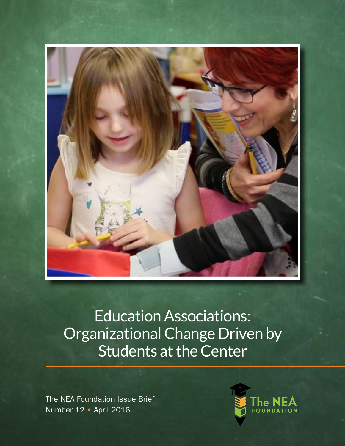

The NEA Foundation Issue Brief Number 12 • April 2016

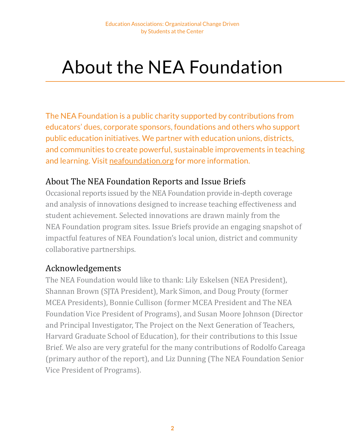### About the NEA Foundation

The NEA Foundation is a public charity supported by contributions from educators' dues, corporate sponsors, foundations and others who support public education initiatives. We partner with education unions, districts, and communities to create powerful, sustainable improvements in teaching and learning. Visit [neafoundation.org](http://www.neafoundation.org) for more information.

### About The NEA Foundation Reports and Issue Briefs

Occasional reports issued by the NEA Foundation provide in-depth coverage and analysis of innovations designed to increase teaching effectiveness and student achievement. Selected innovations are drawn mainly from the NEA Foundation program sites. Issue Briefs provide an engaging snapshot of impactful features of NEA Foundation's local union, district and community collaborative partnerships.

### Acknowledgements

The NEA Foundation would like to thank: Lily Eskelsen (NEA President), Shannan Brown (SJTA President), Mark Simon, and Doug Prouty (former MCEA Presidents), Bonnie Cullison (former MCEA President and The NEA Foundation Vice President of Programs), and Susan Moore Johnson (Director and Principal Investigator, The Project on the Next Generation of Teachers, Harvard Graduate School of Education), for their contributions to this Issue Brief. We also are very grateful for the many contributions of Rodolfo Careaga (primary author of the report), and Liz Dunning (The NEA Foundation Senior Vice President of Programs).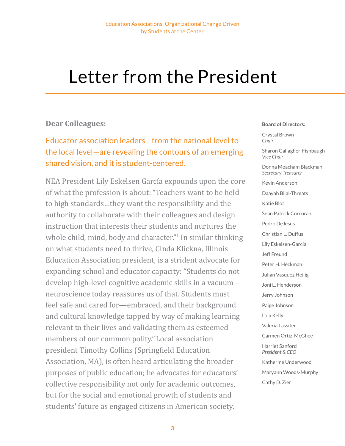### Letter from the President

### **Dear Colleagues:**

Educator association leaders—from the national level to the local level—are revealing the contours of an emerging shared vision, and it is student-centered.

NEA President Lily Eskelsen García expounds upon the core of what the profession is about: "Teachers want to be held to high standards…they want the responsibility and the authority to collaborate with their colleagues and design instruction that interests their students and nurtures the whole child, mind, body and character."<sup>1</sup> In similar thinking on what students need to thrive, Cinda Klickna, Illinois Education Association president, is a strident advocate for expanding school and educator capacity: "Students do not develop high-level cognitive academic skills in a vacuum neuroscience today reassures us of that. Students must feel safe and cared for—embraced, and their background and cultural knowledge tapped by way of making learning relevant to their lives and validating them as esteemed members of our common polity."Local association president Timothy Collins (Springfield Education Association, MA), is often heard articulating the broader purposes of public education; he advocates for educators' collective responsibility not only for academic outcomes, but for the social and emotional growth of students and students' future as engaged citizens in American society.

#### **Board of Directors:**

Crystal Brown *Chair*

Sharon Gallagher-Fishbaugh *Vice Chair*

Donna Meacham Blackman *Secretary-Treasurer*

Kevin Anderson Daayah Bilal-Threats Katie Blot Sean Patrick Corcoran Pedro DeJesus Christian L. Duffus Lily Eskelsen-Garcia Jeff Freund Peter H. Heckman Julian Vasquez Heilig Joni L. Henderson Jerry Johnson Paige Johnson Lola Kelly Valeria Lassiter Carmen Ortiz-McGhee Harriet Sanford *President & CEO* Katherine Underwood Maryann Woods-Murphy Cathy D. Zier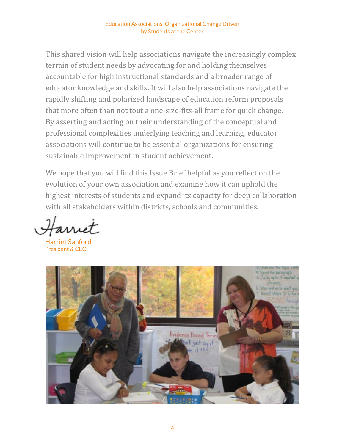This shared vision will help associations navigate the increasingly complex terrain of student needs by advocating for and holding themselves accountable for high instructional standards and a broader range of educator knowledge and skills. It will also help associations navigate the rapidly shifting and polarized landscape of education reform proposals that more often than not tout a one-size-fits-all frame for quick change. By asserting and acting on their understanding of the conceptual and professional complexities underlying teaching and learning, educator associations will continue to be essential organizations for ensuring sustainable improvement in student achievement.

We hope that you will find this Issue Brief helpful as you reflect on the evolution of your own association and examine how it can uphold the highest interests of students and expand its capacity for deep collaboration with all stakeholders within districts, schools and communities.

urret

Harriet Sanford President & CEO

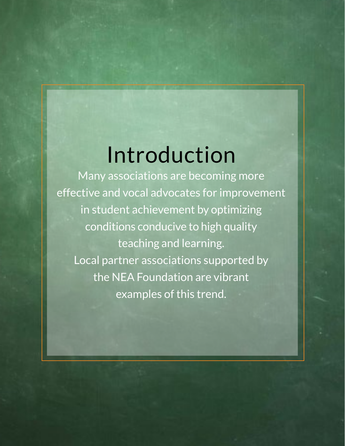### Introduction

Many associations are becoming more effective and vocal advocates for improvement in student achievement by optimizing conditions conducive to high quality teaching and learning. Local partner associations supported by the NEA Foundation are vibrant examples of this trend.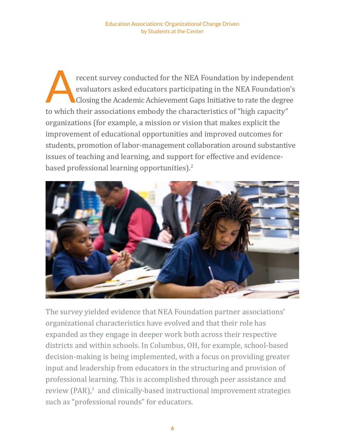recent survey conducted for the NEA Foundation by independent evaluators asked educators participating in the NEA Foundation's Closing the Academic Achievement Gaps Initiative to rate the degree evaluators asked educators participating in the NEA Foundation's Closing the Academic Achievement Gaps Initiative to rate the degree to which their associations embody the characteristics of "high capacity" organizations (for example, a mission or vision that makes explicit the improvement of educational opportunities and improved outcomes for students, promotion of labor-management collaboration around substantive issues of teaching and learning, and support for effective and evidencebased professional learning opportunities).<sup>2</sup>



The survey yielded evidence that NEA Foundation partner associations' organizational characteristics have evolved and that their role has expanded as they engage in deeper work both across their respective districts and within schools. In Columbus, OH, for example, school-based decision-making is being implemented, with a focus on providing greater input and leadership from educators in the structuring and provision of professional learning. This is accomplished through peer assistance and review (PAR),<sup>3</sup> and clinically-based instructional improvement strategies such as "professional rounds" for educators.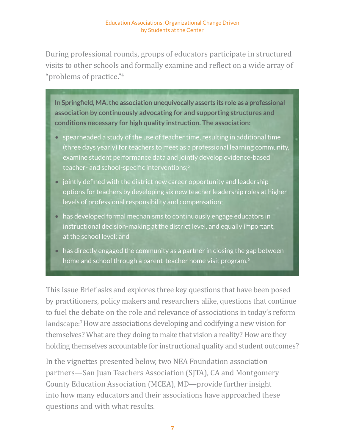During professional rounds, groups of educators participate in structured visits to other schools and formally examine and reflect on a wide array of "problems of practice."<sup>4</sup>

**In Springfield, MA, the association unequivocally asserts its role as a professional association by continuously advocating for and supporting structures and conditions necessary for high quality instruction. The association:**

- spearheaded a study of the use of teacher time, resulting in additional time (three days yearly) for teachers to meet as a professional learning community, examine student performance data and jointly develop evidence-based teacher- and school-specific interventions;<sup>5</sup>
- jointly defined with the district new career opportunity and leadership options for teachers by developing six new teacher leadership roles at higher levels of professional responsibility and compensation;
- has developed formal mechanisms to continuously engage educators in instructional decision-making at the district level, and equally important, at the school level; and
- has directly engaged the community as a partner in closing the gap between home and school through a parent-teacher home visit program.<sup>6</sup>

This Issue Brief asks and explores three key questions that have been posed by practitioners, policy makers and researchers alike, questions that continue to fuel the debate on the role and relevance of associations in today's reform landscape:<sup>7</sup> How are associations developing and codifying a new vision for themselves? What are they doing to make that vision a reality? How are they holding themselves accountable for instructional quality and student outcomes?

In the vignettes presented below, two NEA Foundation association partners—San Juan Teachers Association (SJTA), CA and Montgomery County Education Association (MCEA), MD—provide further insight into how many educators and their associations have approached these questions and with what results.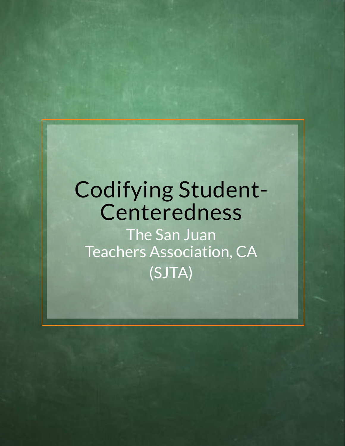## Codifying Student-Centeredness

The San Juan Teachers Association, CA (SJTA)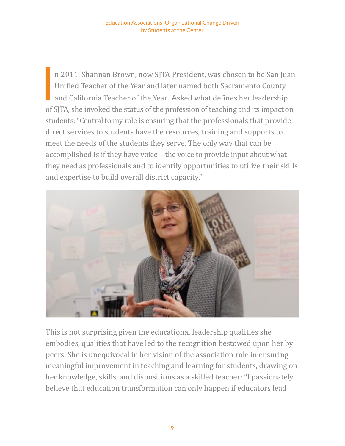n 2011, Shannan Brown, now SJTA President, was chosen to be San Juan<br>Unified Teacher of the Year and later named both Sacramento County<br>and California Teacher of the Year. Asked what defines her leadership Unified Teacher of the Year and later named both Sacramento County and California Teacher of the Year. Asked what defines her leadership of SJTA, she invoked the status of the profession of teaching and its impact on students: "Central to my role is ensuring that the professionals that provide direct services to students have the resources, training and supports to meet the needs of the students they serve. The only way that can be accomplished is if they have voice—the voice to provide input about what they need as professionals and to identify opportunities to utilize their skills and expertise to build overall district capacity."



This is not surprising given the educational leadership qualities she embodies, qualities that have led to the recognition bestowed upon her by peers. She is unequivocal in her vision of the association role in ensuring meaningful improvement in teaching and learning for students, drawing on her knowledge, skills, and dispositions as a skilled teacher: "I passionately believe that education transformation can only happen if educators lead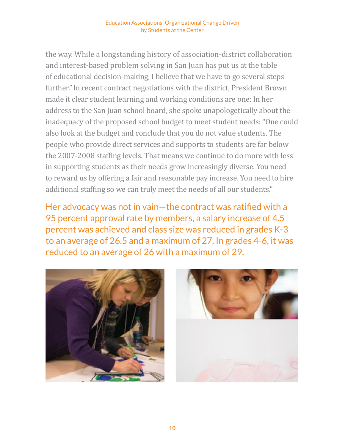the way. While a longstanding history of association-district collaboration and interest-based problem solving in San Juan has put us at the table of educational decision-making, I believe that we have to go several steps further."In recent contract negotiations with the district, President Brown made it clear student learning and working conditions are one: In her address to the San Juan school board, she spoke unapologetically about the inadequacy of the proposed school budget to meet student needs: "One could also look at the budget and conclude that you do not value students. The people who provide direct services and supports to students are far below the 2007-2008 staffing levels. That means we continue to do more with less in supporting students as their needs grow increasingly diverse. You need to reward us by offering a fair and reasonable pay increase. You need to hire additional staffing so we can truly meet the needs of all our students."

Her advocacy was not in vain—the contract was ratified with a 95 percent approval rate by members, a salary increase of 4.5 percent was achieved and class size was reduced in grades K-3 to an average of 26.5 and a maximum of 27. In grades 4-6, it was reduced to an average of 26 with a maximum of 29.



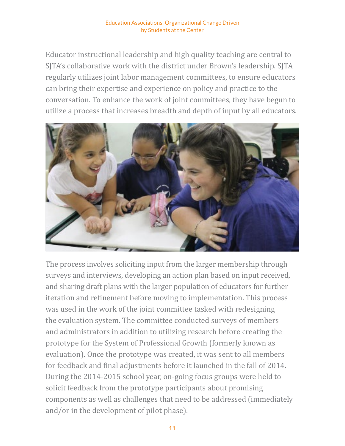Educator instructional leadership and high quality teaching are central to SJTA's collaborative work with the district under Brown's leadership. SJTA regularly utilizes joint labor management committees, to ensure educators can bring their expertise and experience on policy and practice to the conversation. To enhance the work of joint committees, they have begun to utilize a process that increases breadth and depth of input by all educators.



The process involves soliciting input from the larger membership through surveys and interviews, developing an action plan based on input received, and sharing draft plans with the larger population of educators for further iteration and refinement before moving to implementation. This process was used in the work of the joint committee tasked with redesigning the evaluation system. The committee conducted surveys of members and administrators in addition to utilizing research before creating the prototype for the System of Professional Growth (formerly known as evaluation). Once the prototype was created, it was sent to all members for feedback and final adjustments before it launched in the fall of 2014. During the 2014-2015 school year, on-going focus groups were held to solicit feedback from the prototype participants about promising components as well as challenges that need to be addressed (immediately and/or in the development of pilot phase).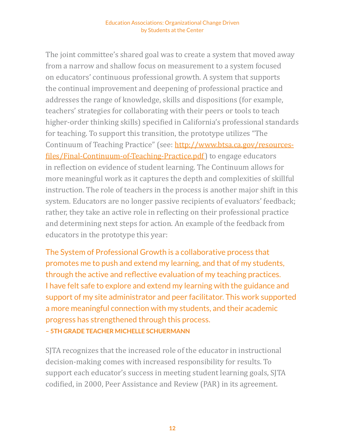The joint committee's shared goal was to create a system that moved away from a narrow and shallow focus on measurement to a system focused on educators' continuous professional growth. A system that supports the continual improvement and deepening of professional practice and addresses the range of knowledge, skills and dispositions (for example, teachers' strategies for collaborating with their peers or tools to teach higher-order thinking skills) specified in California's professional standards for teaching. To support this transition, the prototype utilizes "The Continuum of Teaching Practice" (see: [http://www.btsa.ca.gov/resources](http://www.btsa.ca.gov/resources-files/Final-Continuum-of-Teaching-Practice.pdf)[files/Final-Continuum-of-Teaching-Practice.pdf](http://www.btsa.ca.gov/resources-files/Final-Continuum-of-Teaching-Practice.pdf)) to engage educators in reflection on evidence of student learning. The Continuum allows for more meaningful work as it captures the depth and complexities of skillful instruction. The role of teachers in the process is another major shift in this system. Educators are no longer passive recipients of evaluators' feedback; rather, they take an active role in reflecting on their professional practice and determining next steps for action. An example of the feedback from educators in the prototype this year:

The System of Professional Growth is a collaborative process that promotes me to push and extend my learning, and that of my students, through the active and reflective evaluation of my teaching practices. I have felt safe to explore and extend my learning with the guidance and support of my site administrator and peer facilitator. This work supported a more meaningful connection with my students, and their academic progress has strengthened through this process. **– 5th Grade Teacher Michelle Schuermann**

SJTA recognizes that the increased role of the educator in instructional decision-making comes with increased responsibility for results. To support each educator's success in meeting student learning goals, SJTA codified, in 2000, Peer Assistance and Review (PAR) in its agreement.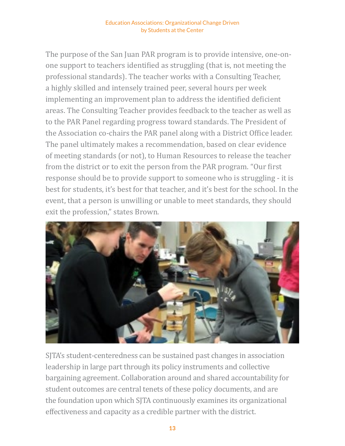The purpose of the San Juan PAR program is to provide intensive, one-onone support to teachers identified as struggling (that is, not meeting the professional standards). The teacher works with a Consulting Teacher, a highly skilled and intensely trained peer, several hours per week implementing an improvement plan to address the identified deficient areas. The Consulting Teacher provides feedback to the teacher as well as to the PAR Panel regarding progress toward standards. The President of the Association co-chairs the PAR panel along with a District Office leader. The panel ultimately makes a recommendation, based on clear evidence of meeting standards (or not), to Human Resources to release the teacher from the district or to exit the person from the PAR program. "Our first response should be to provide support to someone who is struggling - it is best for students, it's best for that teacher, and it's best for the school. In the event, that a person is unwilling or unable to meet standards, they should exit the profession," states Brown.



SJTA's student-centeredness can be sustained past changes in association leadership in large part through its policy instruments and collective bargaining agreement. Collaboration around and shared accountability for student outcomes are central tenets of these policy documents, and are the foundation upon which SJTA continuously examines its organizational effectiveness and capacity as a credible partner with the district.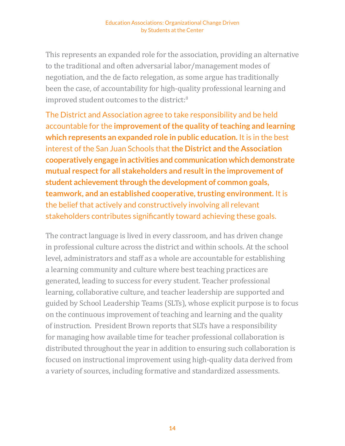This represents an expanded role for the association, providing an alternative to the traditional and often adversarial labor/management modes of negotiation, and the de facto relegation, as some argue has traditionally been the case, of accountability for high-quality professional learning and improved student outcomes to the district:<sup>8</sup>

The District and Association agree to take responsibility and be held accountable for the **improvement of the quality of teaching and learning which represents an expanded role in public education.** It is in the best interest of the San Juan Schools that **the District and the Association cooperatively engage in activities and communication which demonstrate mutual respect for all stakeholders and result in the improvement of student achievement through the development of common goals, teamwork, and an established cooperative, trusting environment.** It is the belief that actively and constructively involving all relevant stakeholders contributes significantly toward achieving these goals.

The contract language is lived in every classroom, and has driven change in professional culture across the district and within schools. At the school level, administrators and staff as a whole are accountable for establishing a learning community and culture where best teaching practices are generated, leading to success for every student. Teacher professional learning, collaborative culture, and teacher leadership are supported and guided by School Leadership Teams (SLTs), whose explicit purpose is to focus on the continuous improvement of teaching and learning and the quality of instruction. President Brown reports that SLTs have a responsibility for managing how available time for teacher professional collaboration is distributed throughout the year in addition to ensuring such collaboration is focused on instructional improvement using high-quality data derived from a variety of sources, including formative and standardized assessments.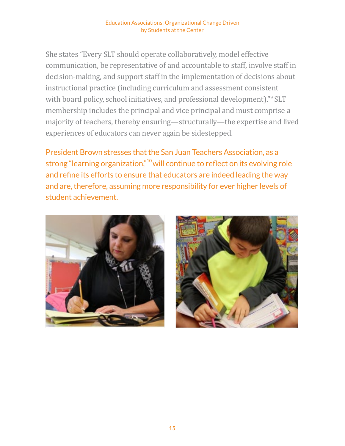She states "Every SLT should operate collaboratively, model effective communication, be representative of and accountable to staff, involve staff in decision-making, and support staff in the implementation of decisions about instructional practice (including curriculum and assessment consistent with board policy, school initiatives, and professional development)."<sup>9</sup> SLT membership includes the principal and vice principal and must comprise a majority of teachers, thereby ensuring—structurally—the expertise and lived experiences of educators can never again be sidestepped.

President Brown stresses that the San Juan Teachers Association, as a strong "learning organization,"10 will continue to reflect on its evolving role and refine its efforts to ensure that educators are indeed leading the way and are, therefore, assuming more responsibility for ever higher levels of student achievement.



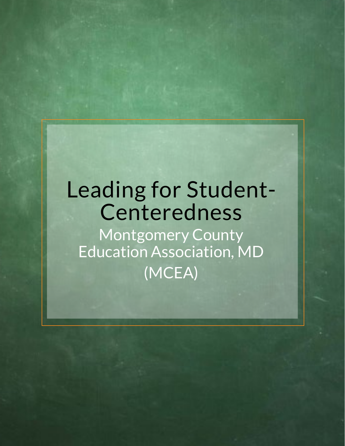# Leading for Student-Centeredness

Montgomery County Education Association, MD (MCEA)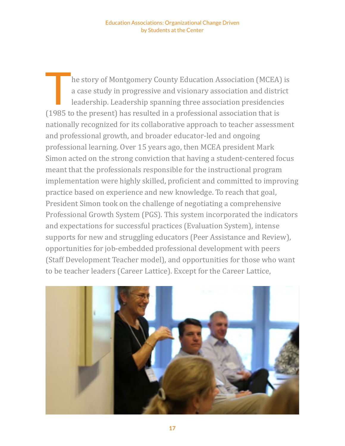he story of Montgomery County Education Association (MCEA) is a case study in progressive and visionary association and district leadership. Leadership spanning three association presidencies (1985 to the present) has resulted in a professional association that is nationally recognized for its collaborative approach to teacher assessment and professional growth, and broader educator-led and ongoing professional learning. Over 15 years ago, then MCEA president Mark Simon acted on the strong conviction that having a student-centered focus meant that the professionals responsible for the instructional program implementation were highly skilled, proficient and committed to improving practice based on experience and new knowledge. To reach that goal, President Simon took on the challenge of negotiating a comprehensive Professional Growth System (PGS). This system incorporated the indicators and expectations for successful practices (Evaluation System), intense supports for new and struggling educators (Peer Assistance and Review), opportunities for job-embedded professional development with peers (Staff Development Teacher model), and opportunities for those who want to be teacher leaders (Career Lattice). Except for the Career Lattice,

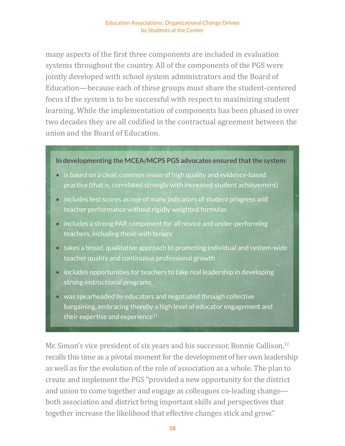many aspects of the first three components are included in evaluation systems throughout the country. All of the components of the PGS were jointly developed with school system administrators and the Board of Education—because each of these groups must share the student-centered focus if the system is to be successful with respect to maximizing student learning. While the implementation of components has been phased in over two decades they are all codified in the contractual agreement between the union and the Board of Education.

#### **In developmenting the MCEA/MCPS PGS advocates ensured that the system:**

- is based on a clear, common vision of high quality and evidence-based practice (that is, correlated strongly with increased student achievement)
- includes test scores as one of many indicators of student progress and teacher performance without rigidly weighted formulas
- includes a strong PAR component for all novice and under-performing teachers, including those with tenure
- takes a broad, qualitative approach to promoting individual and system-wide teacher quality and continuous professional growth
- includes opportunities for teachers to take real leadership in developing strong instructional programs
- was spearheaded by educators and negotiated through collective bargaining, embracing thereby a high level of educator engagement and their expertise and experience $11$

Mr. Simon's vice president of six years and his successor, Bonnie Cullison,<sup>12</sup> recalls this time as a pivotal moment for the development of her own leadership as well as for the evolution of the role of association as a whole. The plan to create and implement the PGS "provided a new opportunity for the district and union to come together and engage as colleagues co-leading change both association and district bring important skills and perspectives that together increase the likelihood that effective changes stick and grow."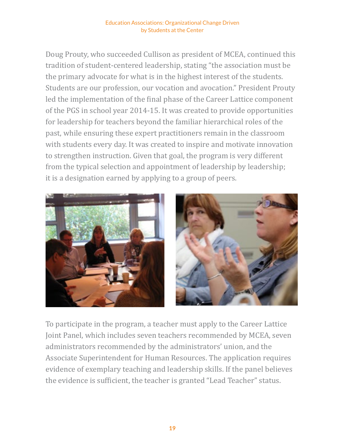Doug Prouty, who succeeded Cullison as president of MCEA, continued this tradition of student-centered leadership, stating "the association must be the primary advocate for what is in the highest interest of the students. Students are our profession, our vocation and avocation." President Prouty led the implementation of the final phase of the Career Lattice component of the PGS in school year 2014-15. It was created to provide opportunities for leadership for teachers beyond the familiar hierarchical roles of the past, while ensuring these expert practitioners remain in the classroom with students every day. It was created to inspire and motivate innovation to strengthen instruction. Given that goal, the program is very different from the typical selection and appointment of leadership by leadership; it is a designation earned by applying to a group of peers.



To participate in the program, a teacher must apply to the Career Lattice Joint Panel, which includes seven teachers recommended by MCEA, seven administrators recommended by the administrators' union, and the Associate Superintendent for Human Resources. The application requires evidence of exemplary teaching and leadership skills. If the panel believes the evidence is sufficient, the teacher is granted "Lead Teacher" status.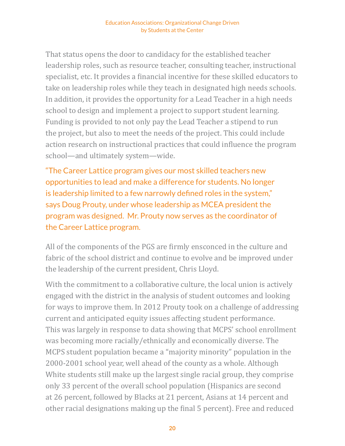That status opens the door to candidacy for the established teacher leadership roles, such as resource teacher, consulting teacher, instructional specialist, etc. It provides a financial incentive for these skilled educators to take on leadership roles while they teach in designated high needs schools. In addition, it provides the opportunity for a Lead Teacher in a high needs school to design and implement a project to support student learning. Funding is provided to not only pay the Lead Teacher a stipend to run the project, but also to meet the needs of the project. This could include action research on instructional practices that could influence the program school—and ultimately system—wide.

"The Career Lattice program gives our most skilled teachers new opportunities to lead and make a difference for students. No longer is leadership limited to a few narrowly defined roles in the system," says Doug Prouty, under whose leadership as MCEA president the program was designed. Mr. Prouty now serves as the coordinator of the Career Lattice program.

All of the components of the PGS are firmly ensconced in the culture and fabric of the school district and continue to evolve and be improved under the leadership of the current president, Chris Lloyd.

With the commitment to a collaborative culture, the local union is actively engaged with the district in the analysis of student outcomes and looking for ways to improve them. In 2012 Prouty took on a challenge of addressing current and anticipated equity issues affecting student performance. This was largely in response to data showing that MCPS' school enrollment was becoming more racially/ethnically and economically diverse. The MCPS student population became a "majority minority" population in the 2000-2001 school year, well ahead of the county as a whole. Although White students still make up the largest single racial group, they comprise only 33 percent of the overall school population (Hispanics are second at 26 percent, followed by Blacks at 21 percent, Asians at 14 percent and other racial designations making up the final 5 percent). Free and reduced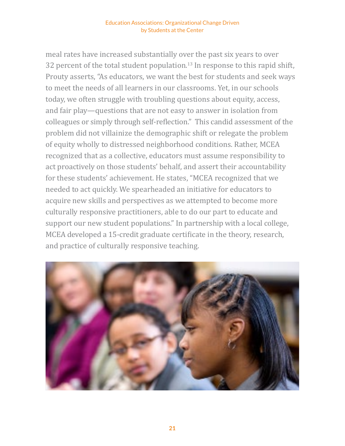meal rates have increased substantially over the past six years to over 32 percent of the total student population.<sup>13</sup> In response to this rapid shift, Prouty asserts, "As educators, we want the best for students and seek ways to meet the needs of all learners in our classrooms. Yet, in our schools today, we often struggle with troubling questions about equity, access, and fair play—questions that are not easy to answer in isolation from colleagues or simply through self-reflection." This candid assessment of the problem did not villainize the demographic shift or relegate the problem of equity wholly to distressed neighborhood conditions. Rather, MCEA recognized that as a collective, educators must assume responsibility to act proactively on those students' behalf, and assert their accountability for these students' achievement. He states, "MCEA recognized that we needed to act quickly. We spearheaded an initiative for educators to acquire new skills and perspectives as we attempted to become more culturally responsive practitioners, able to do our part to educate and support our new student populations." In partnership with a local college, MCEA developed a 15-credit graduate certificate in the theory, research, and practice of culturally responsive teaching.

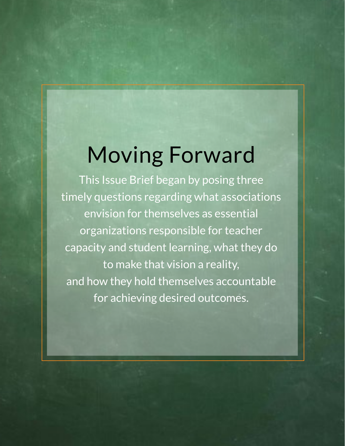# Moving Forward

This Issue Brief began by posing three timely questions regarding what associations envision for themselves as essential organizations responsible for teacher capacity and student learning, what they do to make that vision a reality, and how they hold themselves accountable for achieving desired outcomes.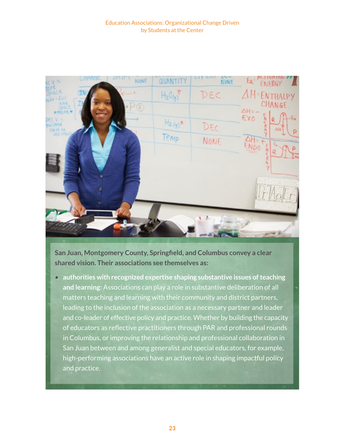

**San Juan, Montgomery County, Springfield, and Columbus convey a clear shared vision. Their associations see themselves as:**

• **authorities with recognized expertise shaping substantive issues of teaching and learning:** Associations can play a role in substantive deliberation of all matters teaching and learning with their community and district partners, leading to the inclusion of the association as a necessary partner and leader and co-leader of effective policy and practice. Whether by building the capacity of educators as reflective practitioners through PAR and professional rounds in Columbus, or improving the relationship and professional collaboration in San Juan between and among generalist and special educators, for example, high-performing associations have an active role in shaping impactful policy and practice.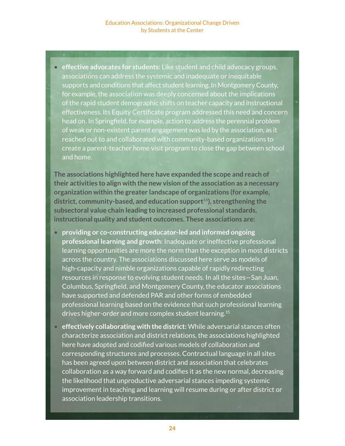• **effective advocates for students:** Like student and child advocacy groups, associations can address the systemic and inadequate or inequitable supports and conditions that affect student learning. In Montgomery County, for example, the association was deeply concerned about the implications of the rapid student demographic shifts on teacher capacity and instructional effectiveness. Its Equity Certificate program addressed this need and concern head on. In Springfield, for example, action to address the perennial problem of weak or non-existent parent engagement was led by the association, as it reached out to and collaborated with community-based organizations to create a parent-teacher home visit program to close the gap between school and home.

**The associations highlighted here have expanded the scope and reach of their activities to align with the new vision of the association as a necessary organization within the greater landscape of organizations (for example, district, community-based, and education support**14**), strengthening the subsectoral value chain leading to increased professional standards, instructional quality and student outcomes. These associations are:**

- **providing or co-constructing educator-led and informed ongoing professional learning and growth:** Inadequate or ineffective professional learning opportunities are more the norm than the exception in most districts across the country. The associations discussed here serve as models of high-capacity and nimble organizations capable of rapidly redirecting resources in response to evolving student needs. In all the sites—San Juan, Columbus, Springfield, and Montgomery County, the educator associations have supported and defended PAR and other forms of embedded professional learning based on the evidence that such professional learning drives higher-order and more complex student learning.15
- **effectively collaborating with the district:** While adversarial stances often characterize association and district relations, the associations highlighted here have adopted and codified various models of collaboration and corresponding structures and processes. Contractual language in all sites has been agreed upon between district and association that celebrates collaboration as a way forward and codifies it as the new normal, decreasing the likelihood that unproductive adversarial stances impeding systemic improvement in teaching and learning will resume during or after district or association leadership transitions.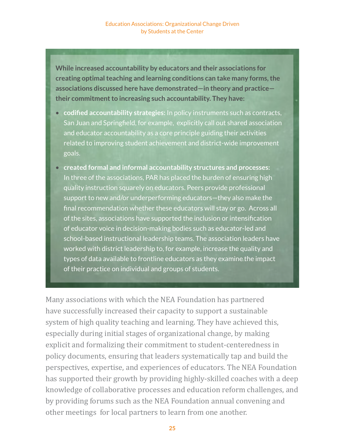**While increased accountability by educators and their associations for creating optimal teaching and learning conditions can take many forms, the associations discussed here have demonstrated—in theory and practice their commitment to increasing such accountability. They have:**

- • **codified accountability strategies:** In policy instruments such as contracts, San Juan and Springfield, for example, explicitly call out shared association and educator accountability as a core principle guiding their activities related to improving student achievement and district-wide improvement goals.
- • **created formal and informal accountability structures and processes:**  In three of the associations, PAR has placed the burden of ensuring high quality instruction squarely on educators. Peers provide professional support to new and/or underperforming educators—they also make the final recommendation whether these educators will stay or go. Across all of the sites, associations have supported the inclusion or intensification of educator voice in decision-making bodies such as educator-led and school-based instructional leadership teams. The association leaders have worked with district leadership to, for example, increase the quality and types of data available to frontline educators as they examine the impact of their practice on individual and groups of students.

Many associations with which the NEA Foundation has partnered have successfully increased their capacity to support a sustainable system of high quality teaching and learning. They have achieved this, especially during initial stages of organizational change, by making explicit and formalizing their commitment to student-centeredness in policy documents, ensuring that leaders systematically tap and build the perspectives, expertise, and experiences of educators. The NEA Foundation has supported their growth by providing highly-skilled coaches with a deep knowledge of collaborative processes and education reform challenges, and by providing forums such as the NEA Foundation annual convening and other meetings for local partners to learn from one another.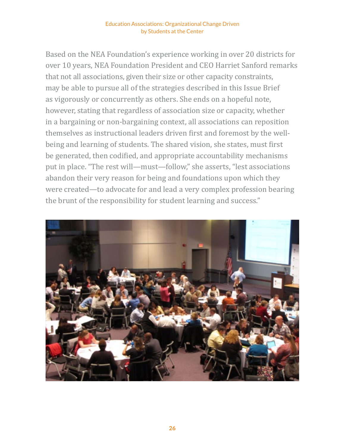Based on the NEA Foundation's experience working in over 20 districts for over 10 years, NEA Foundation President and CEO Harriet Sanford remarks that not all associations, given their size or other capacity constraints, may be able to pursue all of the strategies described in this Issue Brief as vigorously or concurrently as others. She ends on a hopeful note, however, stating that regardless of association size or capacity, whether in a bargaining or non-bargaining context, all associations can reposition themselves as instructional leaders driven first and foremost by the wellbeing and learning of students. The shared vision, she states, must first be generated, then codified, and appropriate accountability mechanisms put in place. "The rest will—must—follow," she asserts, "lest associations abandon their very reason for being and foundations upon which they were created—to advocate for and lead a very complex profession bearing the brunt of the responsibility for student learning and success."

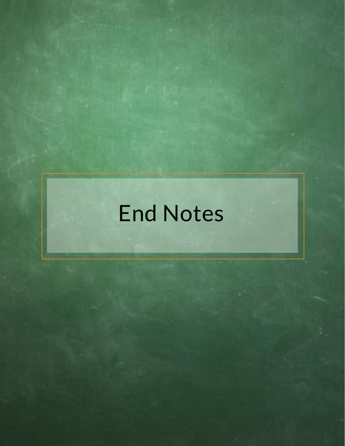# End Notes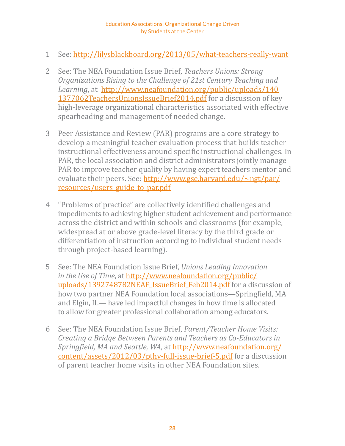- 1 See:<http://lilysblackboard.org/2013/05/what-teachers-really-want>
- 2 See: The NEA Foundation Issue Brief, *Teachers Unions: Strong Organizations Rising to the Challenge of 21st Century Teaching and Learning*, at [http://www.neafoundation.org/public/uploads/140](http://www.neafoundation.org/public/uploads/1401377062TeachersUnionsIssueBrief2014.pdf) [1377062TeachersUnionsIssueBrief2014.pdf](http://www.neafoundation.org/public/uploads/1401377062TeachersUnionsIssueBrief2014.pdf) for a discussion of key high-leverage organizational characteristics associated with effective spearheading and management of needed change.
- 3 Peer Assistance and Review (PAR) programs are a core strategy to develop a meaningful teacher evaluation process that builds teacher instructional effectiveness around specific instructional challenges. In PAR, the local association and district administrators jointly manage PAR to improve teacher quality by having expert teachers mentor and evaluate their peers. See: [http://www.gse.harvard.edu/~ngt/par/](http://www.gse.harvard.edu/~ngt/par/resources/users_guide_to_par.pdf) [resources/users\\_guide\\_to\\_par.pdf](http://www.gse.harvard.edu/~ngt/par/resources/users_guide_to_par.pdf)
- 4 "Problems of practice" are collectively identified challenges and impediments to achieving higher student achievement and performance across the district and within schools and classrooms (for example, widespread at or above grade-level literacy by the third grade or differentiation of instruction according to individual student needs through project-based learning).
- 5 See: The NEA Foundation Issue Brief, *Unions Leading Innovation in the Use of Time*, at [http://www.neafoundation.org/public/](http://www.neafoundation.org/public/uploads/1392748782NEAF_IssueBrief_Feb2014.pdf) uploads/1392748782NEAF IssueBrief Feb2014.pdf for a discussion of how two partner NEA Foundation local associations—Springfield, MA and Elgin, IL— have led impactful changes in how time is allocated to allow for greater professional collaboration among educators.
- 6 See: The NEA Foundation Issue Brief, *Parent/Teacher Home Visits: Creating a Bridge Between Parents and Teachers as Co-Educators in Springfield, MA and Seattle, WA*, at [http://www.neafoundation.org/](http://www.neafoundation.org/content/assets/2012/03/pthv-full-issue-brief-5.pdf) [content/assets/2012/03/pthv-full-issue-brief-5.pdf](http://www.neafoundation.org/content/assets/2012/03/pthv-full-issue-brief-5.pdf) for a discussion of parent teacher home visits in other NEA Foundation sites.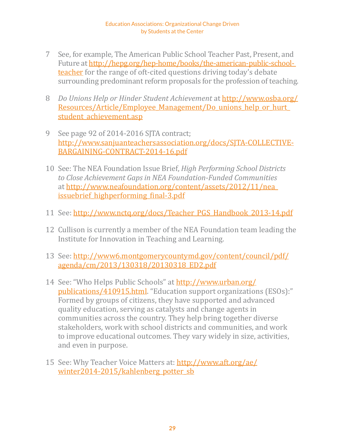- 7 See, for example, The American Public School Teacher Past, Present, and Future at [http://hepg.org/hep-home/books/the-american-public-school](http://hepg.org/hep-home/books/the-american-public-school-teacher)[teacher](http://hepg.org/hep-home/books/the-american-public-school-teacher) for the range of oft-cited questions driving today's debate surrounding predominant reform proposals for the profession of teaching.
- 8 *Do Unions Help or Hinder Student Achievement* at [http://www.osba.org/](http://www.osba.org/Resources/Article/Employee_Management/Do_unions_help_or_hurt_student_achievement.asp) [Resources/Article/Employee\\_Management/Do\\_unions\\_help\\_or\\_hurt\\_](http://www.osba.org/Resources/Article/Employee_Management/Do_unions_help_or_hurt_student_achievement.asp) [student\\_achievement.asp](http://www.osba.org/Resources/Article/Employee_Management/Do_unions_help_or_hurt_student_achievement.asp)
- 9 See page 92 of 2014-2016 SJTA contract; [http://www.sanjuanteachersassociation.org/docs/SJTA-COLLECTIVE-](http://www.sanjuanteachersassociation.org/docs/SJTA-COLLECTIVE-BARGAINING-CONTRACT-2014-16.pdf)[BARGAINING-CONTRACT-2014-16.pdf](http://www.sanjuanteachersassociation.org/docs/SJTA-COLLECTIVE-BARGAINING-CONTRACT-2014-16.pdf)
- 10 See: The NEA Foundation Issue Brief, *High Performing School Districts to Close Achievement Gaps in NEA Foundation-Funded Communities* at [http://www.neafoundation.org/content/assets/2012/11/nea\\_](http://www.neafoundation.org/content/assets/2012/11/nea_issuebrief_highperforming_final-3.pdf) issuebrief highperforming final-3.pdf
- 11 See: [http://www.nctq.org/docs/Teacher\\_PGS\\_Handbook\\_2013-14.pdf](http://www.nctq.org/docs/Teacher_PGS_Handbook_2013-14.pdf)
- 12 Cullison is currently a member of the NEA Foundation team leading the Institute for Innovation in Teaching and Learning.
- 13 See: [http://www6.montgomerycountymd.gov/content/council/pdf/](http://www6.montgomerycountymd.gov/content/council/pdf/agenda/cm/2013/130318/20130318_ED2.pdf) [agenda/cm/2013/130318/20130318\\_ED2.pdf](http://www6.montgomerycountymd.gov/content/council/pdf/agenda/cm/2013/130318/20130318_ED2.pdf)
- 14 See: "Who Helps Public Schools" at [http://www.urban.org/](http://www.urban.org/publications/410915.html) [publications/410915.html.](http://www.urban.org/publications/410915.html) "Education support organizations (ESOs):" Formed by groups of citizens, they have supported and advanced quality education, serving as catalysts and change agents in communities across the country. They help bring together diverse stakeholders, work with school districts and communities, and work to improve educational outcomes. They vary widely in size, activities, and even in purpose.
- 15 See: Why Teacher Voice Matters at: [http://www.aft.org/ae/](http://www.aft.org/ae/winter2014-2015/kahlenberg_potter_sb) winter2014-2015/kahlenberg potter sb